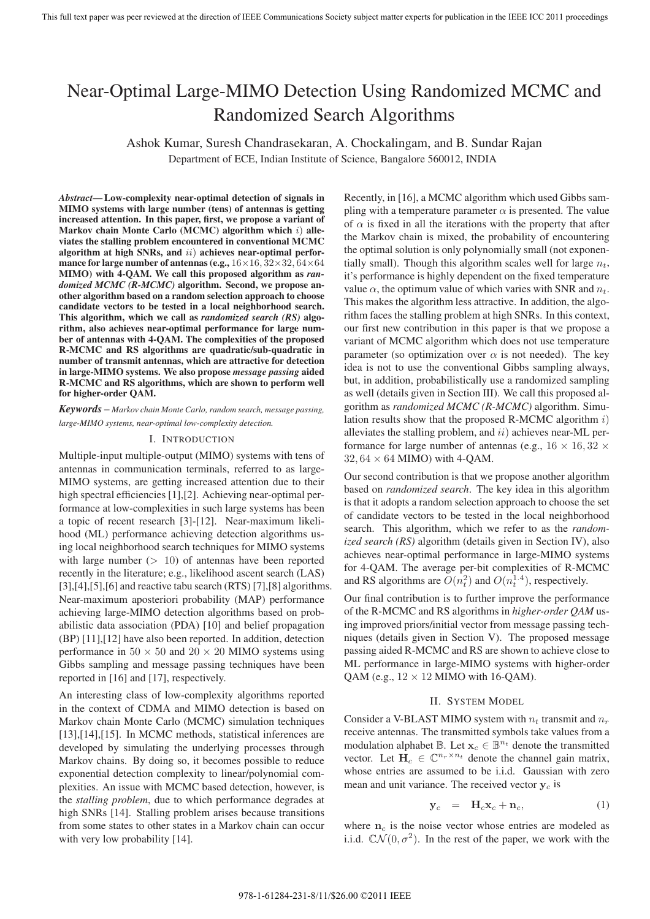# Near-Optimal Large-MIMO Detection Using Randomized MCMC and Randomized Search Algorithms

Ashok Kumar, Suresh Chandrasekaran, A. Chockalingam, and B. Sundar Rajan

Department of ECE, Indian Institute of Science, Bangalore 560012, INDIA

*Abstract***— Low-complexity near-optimal detection of signals in MIMO systems with large number (tens) of antennas is getting increased attention. In this paper, first, we propose a variant of Markov chain Monte Carlo (MCMC) algorithm which** i) **alleviates the stalling problem encountered in conventional MCMC algorithm at high SNRs, and** ii) **achieves near-optimal performance for large number of antennas (e.g.,** <sup>16</sup>×16, <sup>32</sup>×32, <sup>64</sup>×<sup>64</sup> **MIMO) with 4-QAM. We call this proposed algorithm as** *randomized MCMC (R-MCMC)* **algorithm. Second, we propose another algorithm based on a random selection approach to choose candidate vectors to be tested in a local neighborhood search. This algorithm, which we call as** *randomized search (RS)* **algorithm, also achieves near-optimal performance for large number of antennas with 4-QAM. The complexities of the proposed R-MCMC and RS algorithms are quadratic/sub-quadratic in number of transmit antennas, which are attractive for detection in large-MIMO systems. We also propose** *message passing* **aided R-MCMC and RS algorithms, which are shown to perform well for higher-order QAM.**

*Keywords* – *Markov chain Monte Carlo, random search, message passing, large-MIMO systems, near-optimal low-complexity detection.*

#### I. INTRODUCTION

Multiple-input multiple-output (MIMO) systems with tens of antennas in communication terminals, referred to as large-MIMO systems, are getting increased attention due to their high spectral efficiencies [1],[2]. Achieving near-optimal performance at low-complexities in such large systems has been a topic of recent research [3]-[12]. Near-maximum likelihood (ML) performance achieving detection algorithms using local neighborhood search techniques for MIMO systems with large number  $(> 10)$  of antennas have been reported recently in the literature; e.g., likelihood ascent search (LAS)  $[3]$ , $[4]$ , $[5]$ , $[6]$  and reactive tabu search  $(RTS)$   $[7]$ , $[8]$  algorithms. Near-maximum aposteriori probability (MAP) performance achieving large-MIMO detection algorithms based on probabilistic data association (PDA) [10] and belief propagation (BP) [11],[12] have also been reported. In addition, detection performance in  $50 \times 50$  and  $20 \times 20$  MIMO systems using Gibbs sampling and message passing techniques have been reported in [16] and [17], respectively.

An interesting class of low-complexity algorithms reported in the context of CDMA and MIMO detection is based on Markov chain Monte Carlo (MCMC) simulation techniques [13],[14],[15]. In MCMC methods, statistical inferences are developed by simulating the underlying processes through Markov chains. By doing so, it becomes possible to reduce exponential detection complexity to linear/polynomial complexities. An issue with MCMC based detection, however, is the *stalling problem*, due to which performance degrades at high SNRs [14]. Stalling problem arises because transitions from some states to other states in a Markov chain can occur with very low probability [14].

Recently, in [16], a MCMC algorithm which used Gibbs sampling with a temperature parameter  $\alpha$  is presented. The value of  $\alpha$  is fixed in all the iterations with the property that after the Markov chain is mixed, the probability of encountering the optimal solution is only polynomially small (not exponentially small). Though this algorithm scales well for large  $n_t$ , it's performance is highly dependent on the fixed temperature value  $\alpha$ , the optimum value of which varies with SNR and  $n_t$ . This makes the algorithm less attractive. In addition, the algorithm faces the stalling problem at high SNRs. In this context, our first new contribution in this paper is that we propose a variant of MCMC algorithm which does not use temperature parameter (so optimization over  $\alpha$  is not needed). The key idea is not to use the conventional Gibbs sampling always, but, in addition, probabilistically use a randomized sampling as well (details given in Section III). We call this proposed algorithm as *randomized MCMC (R-MCMC)* algorithm. Simulation results show that the proposed R-MCMC algorithm  $i$ ) alleviates the stalling problem, and  $ii)$  achieves near-ML performance for large number of antennas (e.g.,  $16 \times 16, 32 \times$  $32, 64 \times 64$  MIMO) with 4-QAM.

Our second contribution is that we propose another algorithm based on *randomized search*. The key idea in this algorithm is that it adopts a random selection approach to choose the set of candidate vectors to be tested in the local neighborhood search. This algorithm, which we refer to as the *randomized search (RS)* algorithm (details given in Section IV), also achieves near-optimal performance in large-MIMO systems for 4-QAM. The average per-bit complexities of R-MCMC and RS algorithms are  $O(n_t^2)$  and  $O(n_t^{1.4})$ , respectively.

Our final contribution is to further improve the performance of the R-MCMC and RS algorithms in *higher-order QAM* using improved priors/initial vector from message passing techniques (details given in Section V). The proposed message passing aided R-MCMC and RS are shown to achieve close to ML performance in large-MIMO systems with higher-order OAM (e.g.,  $12 \times 12$  MIMO with 16-OAM).

### II. SYSTEM MODEL

Consider a V-BLAST MIMO system with  $n_t$  transmit and  $n_r$ receive antennas. The transmitted symbols take values from a modulation alphabet  $\mathbb{B}$ . Let  $\mathbf{x}_c \in \mathbb{B}^{n_t}$  denote the transmitted vector. Let  $\mathbf{H}_c \in \mathbb{C}^{n_r \times n_t}$  denote the channel gain matrix, whose entries are assumed to be i.i.d. Gaussian with zero mean and unit variance. The received vector **y***<sup>c</sup>* is

$$
\mathbf{y}_c = \mathbf{H}_c \mathbf{x}_c + \mathbf{n}_c, \tag{1}
$$

where  $n_c$  is the noise vector whose entries are modeled as i.i.d.  $\mathbb{C}\mathcal{N}(0, \sigma^2)$ . In the rest of the paper, we work with the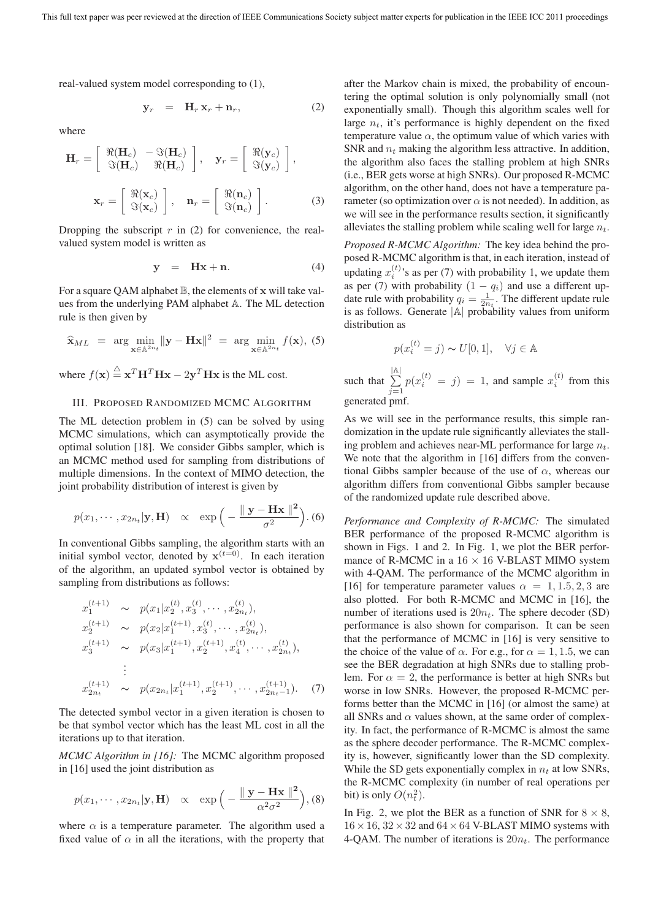real-valued system model corresponding to (1),

$$
\mathbf{y}_r = \mathbf{H}_r \mathbf{x}_r + \mathbf{n}_r, \tag{2}
$$

where

$$
\mathbf{H}_{r} = \begin{bmatrix} \Re(\mathbf{H}_{c}) & -\Im(\mathbf{H}_{c}) \\ \Im(\mathbf{H}_{c}) & \Re(\mathbf{H}_{c}) \end{bmatrix}, \quad \mathbf{y}_{r} = \begin{bmatrix} \Re(\mathbf{y}_{c}) \\ \Im(\mathbf{y}_{c}) \end{bmatrix},
$$

$$
\mathbf{x}_{r} = \begin{bmatrix} \Re(\mathbf{x}_{c}) \\ \Im(\mathbf{x}_{c}) \end{bmatrix}, \quad \mathbf{n}_{r} = \begin{bmatrix} \Re(\mathbf{n}_{c}) \\ \Im(\mathbf{n}_{c}) \end{bmatrix}. \tag{3}
$$

Dropping the subscript  $r$  in (2) for convenience, the realvalued system model is written as

$$
y = Hx + n. \tag{4}
$$

For a square QAM alphabet B, the elements of **x** will take values from the underlying PAM alphabet A. The ML detection rule is then given by

$$
\widehat{\mathbf{x}}_{ML} = \arg \min_{\mathbf{x} \in \mathbb{A}^{2n_t}} \|\mathbf{y} - \mathbf{H}\mathbf{x}\|^2 = \arg \min_{\mathbf{x} \in \mathbb{A}^{2n_t}} f(\mathbf{x}), \tag{5}
$$

where  $f(\mathbf{x}) \stackrel{\Delta}{=} \mathbf{x}^T \mathbf{H}^T \mathbf{H} \mathbf{x} - 2\mathbf{y}^T \mathbf{H} \mathbf{x}$  is the ML cost.

#### III. PROPOSED RANDOMIZED MCMC ALGORITHM

The ML detection problem in (5) can be solved by using MCMC simulations, which can asymptotically provide the optimal solution [18]. We consider Gibbs sampler, which is an MCMC method used for sampling from distributions of multiple dimensions. In the context of MIMO detection, the joint probability distribution of interest is given by

$$
p(x_1, \cdots, x_{2n_t}|\mathbf{y}, \mathbf{H}) \propto \exp\left(-\frac{\|\mathbf{y} - \mathbf{H}\mathbf{x}\|^2}{\sigma^2}\right).
$$
 (6)

In conventional Gibbs sampling, the algorithm starts with an initial symbol vector, denoted by  $\mathbf{x}^{(t=0)}$ . In each iteration of the algorithm, an updated symbol vector is obtained by sampling from distributions as follows:

$$
x_1^{(t+1)} \sim p(x_1|x_2^{(t)}, x_3^{(t)}, \cdots, x_{2n_t}^{(t)}),
$$
  
\n
$$
x_2^{(t+1)} \sim p(x_2|x_1^{(t+1)}, x_3^{(t)}, \cdots, x_{2n_t}^{(t)}),
$$
  
\n
$$
x_3^{(t+1)} \sim p(x_3|x_1^{(t+1)}, x_2^{(t+1)}, x_4^{(t)}, \cdots, x_{2n_t}^{(t)}),
$$
  
\n
$$
\vdots
$$
  
\n
$$
x_{2n_t}^{(t+1)} \sim p(x_{2n_t}|x_1^{(t+1)}, x_2^{(t+1)}, \cdots, x_{2n_t-1}^{(t+1)}).
$$
 (7)

The detected symbol vector in a given iteration is chosen to be that symbol vector which has the least ML cost in all the iterations up to that iteration.

*MCMC Algorithm in [16]:* The MCMC algorithm proposed in [16] used the joint distribution as

$$
p(x_1, \dots, x_{2n_t} | \mathbf{y}, \mathbf{H}) \propto \exp\left(-\frac{\|\mathbf{y} - \mathbf{H}\mathbf{x}\|^2}{\alpha^2 \sigma^2}\right), (8)
$$

where  $\alpha$  is a temperature parameter. The algorithm used a fixed value of  $\alpha$  in all the iterations, with the property that after the Markov chain is mixed, the probability of encountering the optimal solution is only polynomially small (not exponentially small). Though this algorithm scales well for large  $n_t$ , it's performance is highly dependent on the fixed temperature value  $\alpha$ , the optimum value of which varies with SNR and n*<sup>t</sup>* making the algorithm less attractive. In addition, the algorithm also faces the stalling problem at high SNRs (i.e., BER gets worse at high SNRs). Our proposed R-MCMC algorithm, on the other hand, does not have a temperature parameter (so optimization over  $\alpha$  is not needed). In addition, as we will see in the performance results section, it significantly alleviates the stalling problem while scaling well for large n*t*.

*Proposed R-MCMC Algorithm:* The key idea behind the proposed R-MCMC algorithm is that, in each iteration, instead of updating  $x_i^{(t)}$ 's as per (7) with probability 1, we update them as per (7) with probability  $(1 - q_i)$  and use a different update rule with probability  $q_i = \frac{1}{2n_i}$ . The different update rule<br>is as follows. Generate  $|\mathbb{A}|$  probability values from uniform is as follows. Generate  $|A|$  probability values from uniform distribution as

$$
p(x_i^{(t)} = j) \sim U[0, 1], \quad \forall j \in \mathbb{A}
$$
  
that 
$$
\sum_{j=1}^{|\mathbb{A}|} p(x_i^{(t)} = j) = 1
$$
, and sample  $x_i^{(t)}$  from this

generated pmf.

 $\overline{\text{S}}$ 

As we will see in the performance results, this simple randomization in the update rule significantly alleviates the stalling problem and achieves near-ML performance for large n*t*. We note that the algorithm in [16] differs from the conventional Gibbs sampler because of the use of  $\alpha$ , whereas our algorithm differs from conventional Gibbs sampler because of the randomized update rule described above.

*Performance and Complexity of R-MCMC:* The simulated BER performance of the proposed R-MCMC algorithm is shown in Figs. 1 and 2. In Fig. 1, we plot the BER performance of R-MCMC in a  $16 \times 16$  V-BLAST MIMO system with 4-QAM. The performance of the MCMC algorithm in [16] for temperature parameter values  $\alpha = 1, 1.5, 2, 3$  are also plotted. For both R-MCMC and MCMC in [16], the number of iterations used is 20n*t*. The sphere decoder (SD) performance is also shown for comparison. It can be seen that the performance of MCMC in [16] is very sensitive to the choice of the value of  $\alpha$ . For e.g., for  $\alpha = 1, 1.5$ , we can see the BER degradation at high SNRs due to stalling problem. For  $\alpha = 2$ , the performance is better at high SNRs but worse in low SNRs. However, the proposed R-MCMC performs better than the MCMC in [16] (or almost the same) at all SNRs and  $\alpha$  values shown, at the same order of complexity. In fact, the performance of R-MCMC is almost the same as the sphere decoder performance. The R-MCMC complexity is, however, significantly lower than the SD complexity. While the SD gets exponentially complex in  $n_t$  at low SNRs, the R-MCMC complexity (in number of real operations per bit) is only  $O(n_t^2)$ .

In Fig. 2, we plot the BER as a function of SNR for  $8 \times 8$ ,  $16 \times 16$ ,  $32 \times 32$  and  $64 \times 64$  V-BLAST MIMO systems with 4-QAM. The number of iterations is 20n*t*. The performance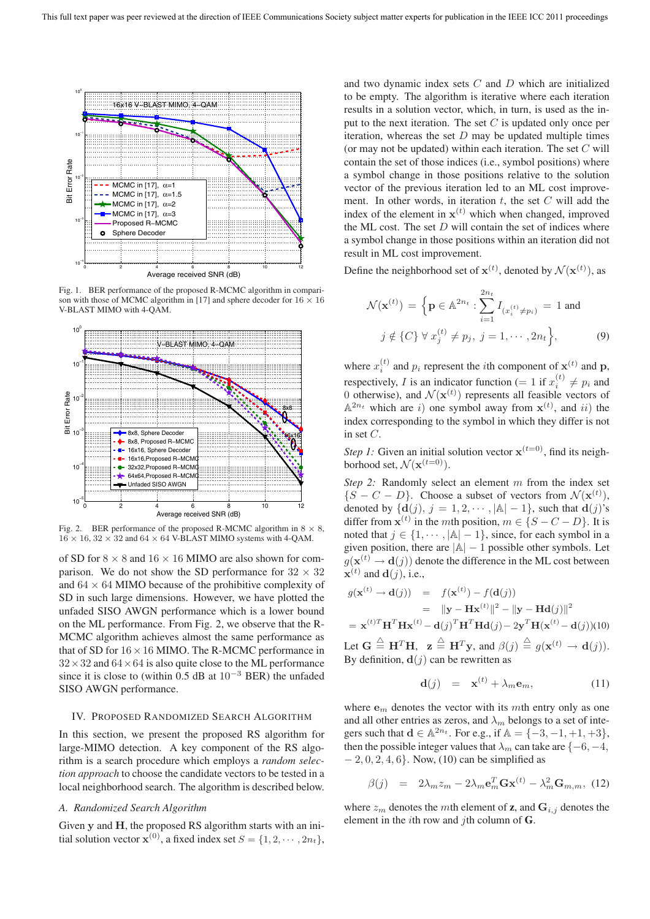

Fig. 1. BER performance of the proposed R-MCMC algorithm in comparison with those of MCMC algorithm in [17] and sphere decoder for  $16 \times 16$ V-BLAST MIMO with 4-QAM.



Fig. 2. BER performance of the proposed R-MCMC algorithm in 8 *×* 8,  $16 \times 16$ ,  $32 \times 32$  and  $64 \times 64$  V-BLAST MIMO systems with 4-QAM.

of SD for  $8 \times 8$  and  $16 \times 16$  MIMO are also shown for comparison. We do not show the SD performance for  $32 \times 32$ and  $64 \times 64$  MIMO because of the prohibitive complexity of SD in such large dimensions. However, we have plotted the unfaded SISO AWGN performance which is a lower bound on the ML performance. From Fig. 2, we observe that the R-MCMC algorithm achieves almost the same performance as that of SD for  $16 \times 16$  MIMO. The R-MCMC performance in  $32 \times 32$  and  $64 \times 64$  is also quite close to the ML performance since it is close to (within 0.5 dB at  $10^{-3}$  BER) the unfaded SISO AWGN performance.

#### IV. PROPOSED RANDOMIZED SEARCH ALGORITHM

In this section, we present the proposed RS algorithm for large-MIMO detection. A key component of the RS algorithm is a search procedure which employs a *random selection approach* to choose the candidate vectors to be tested in a local neighborhood search. The algorithm is described below.

### *A. Randomized Search Algorithm*

Given **y** and **H**, the proposed RS algorithm starts with an initial solution vector  $\mathbf{x}^{(0)}$ , a fixed index set  $S = \{1, 2, \dots, 2n_t\}$ , and two dynamic index sets C and D which are initialized to be empty. The algorithm is iterative where each iteration results in a solution vector, which, in turn, is used as the input to the next iteration. The set  $C$  is updated only once per iteration, whereas the set  $D$  may be updated multiple times (or may not be updated) within each iteration. The set  $C$  will contain the set of those indices (i.e., symbol positions) where a symbol change in those positions relative to the solution vector of the previous iteration led to an ML cost improvement. In other words, in iteration  $t$ , the set  $C$  will add the index of the element in  $\mathbf{x}^{(t)}$  which when changed, improved the ML cost. The set  $D$  will contain the set of indices where a symbol change in those positions within an iteration did not result in ML cost improvement.

Define the neighborhood set of  $\mathbf{x}^{(t)}$ , denoted by  $\mathcal{N}(\mathbf{x}^{(t)})$ , as

$$
\mathcal{N}(\mathbf{x}^{(t)}) = \left\{ \mathbf{p} \in \mathbb{A}^{2n_t} : \sum_{i=1}^{2n_t} I_{(x_i^{(t)} \neq p_i)} = 1 \text{ and } j \notin \{C\} \; \forall \; x_j^{(t)} \neq p_j, \; j = 1, \cdots, 2n_t \right\},\tag{9}
$$

where  $x_i^{(t)}$  and  $p_i$  represent the *i*th component of  $\mathbf{x}^{(t)}$  and  $\mathbf{p}$ , respectively, I is an indicator function  $(= 1$  if  $x_i^{(t)} \neq p_i$  and  $($ is and  $M(\mathbf{x}^{(t)})$  represents all feasible vectors of 0 otherwise), and  $\mathcal{N}(\mathbf{x}^{(t)})$  represents all feasible vectors of  $\mathbb{A}^{2n_t}$  which are *i*) one symbol away from  $\mathbf{x}^{(t)}$  and *ii*) the  $\mathbb{A}^{2n_t}$  which are i) one symbol away from  $\mathbf{x}^{(t)}$ , and ii) the index corresponding to the symbol in which they differ is not in set C.

*Step 1:* Given an initial solution vector  $\mathbf{x}^{(t=0)}$ , find its neighborhood set,  $\mathcal{N}(\mathbf{x}^{(t=0)})$ .

*Step 2:* Randomly select an element m from the index set  $\{S - C - D\}$ . Choose a subset of vectors from  $\mathcal{N}(\mathbf{x}^{(t)})$ , denoted by  $\{d(j), j = 1, 2, \dots, |\mathbb{A}| - 1\}$ , such that  $d(j)$ 's differ from  $\mathbf{x}^{(t)}$  in the *mth* position,  $m \in \{S - C - D\}$ . It is noted that  $j \in \{1, \dots, |\mathbb{A}| - 1\}$ , since, for each symbol in a given position, there are  $|A| - 1$  possible other symbols. Let  $g(\mathbf{x}^{(t)} \rightarrow \mathbf{d}(j))$  denote the difference in the ML cost between  $\mathbf{x}^{(t)}$  and  $\mathbf{d}(j)$ , i.e.,

$$
g(\mathbf{x}^{(t)} \rightarrow \mathbf{d}(j)) = f(\mathbf{x}^{(t)}) - f(\mathbf{d}(j))
$$
  
\n
$$
= ||\mathbf{y} - \mathbf{H}\mathbf{x}^{(t)}||^2 - ||\mathbf{y} - \mathbf{H}\mathbf{d}(j)||^2
$$
  
\n
$$
= \mathbf{x}^{(t)T} \mathbf{H}^T \mathbf{H}\mathbf{x}^{(t)} - \mathbf{d}(j)^T \mathbf{H}^T \mathbf{H}\mathbf{d}(j) - 2\mathbf{y}^T \mathbf{H}(\mathbf{x}^{(t)} - \mathbf{d}(j))(10)
$$

Let  $G \triangleq H^T H$ ,  $z \triangleq H^T y$ , and  $\beta(j) \triangleq g(x^{(t)} \rightarrow d(j))$ .<br>By definition  $d(i)$  can be rewritten as By definition,  $\mathbf{d}(j)$  can be rewritten as

$$
\mathbf{d}(j) = \mathbf{x}^{(t)} + \lambda_m \mathbf{e}_m, \tag{11}
$$

where  $e_m$  denotes the vector with its mth entry only as one and all other entries as zeros, and  $\lambda_m$  belongs to a set of integers such that  $d \in \mathbb{A}^{2n_t}$ . For e.g., if  $\mathbb{A} = \{-3, -1, +1, +3\}$ , then the possible integer values that  $\lambda_m$  can take are  $\{-6, -4, \}$  $-2, 0, 2, 4, 6$ . Now, (10) can be simplified as

$$
\beta(j) = 2\lambda_m z_m - 2\lambda_m \mathbf{e}_m^T \mathbf{G} \mathbf{x}^{(t)} - \lambda_m^2 \mathbf{G}_{m,m}, \quad (12)
$$

where  $z_m$  denotes the mth element of **z**, and  $\mathbf{G}_{i,j}$  denotes the element in the ith row and jth column of **G**.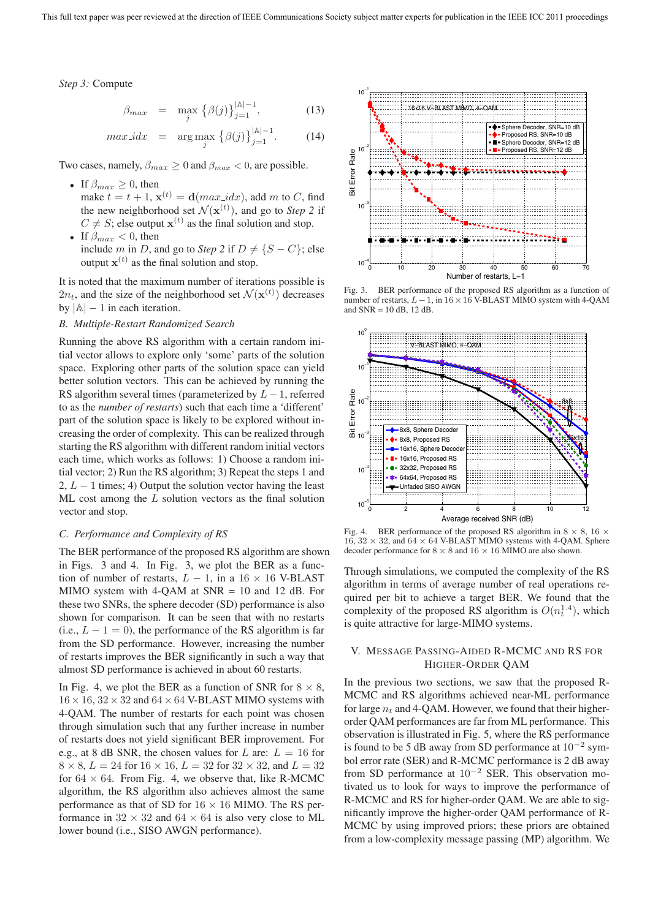*Step 3:* Compute

$$
\beta_{max} = \max_{j} \left\{ \beta(j) \right\}_{j=1}^{|\mathbb{A}|-1}, \tag{13}
$$

$$
max\_idx = \arg \max_{j} \left\{ \beta(j) \right\}_{j=1}^{|A|-1}.
$$
 (14)

Two cases, namely,  $\beta_{max} \geq 0$  and  $\beta_{max} < 0$ , are possible.

- If  $\beta_{max} \geq 0$ , then make  $t = t + 1$ ,  $\mathbf{x}^{(t)} = \mathbf{d}(max\_idx)$ , add m to C, find the new neighborhood set  $\mathcal{N}(\mathbf{x}^{(t)})$ , and go to *Step 2* if  $C \neq S$ ; else output  $\mathbf{x}^{(t)}$  as the final solution and stop.
- If  $\beta_{max} < 0$ , then include m in D, and go to *Step 2* if  $D \neq \{S - C\}$ ; else output  $\mathbf{x}^{(t)}$  as the final solution and stop.

It is noted that the maximum number of iterations possible is  $2n_t$ , and the size of the neighborhood set  $\mathcal{N}(\mathbf{x}^{(t)})$  decreases by  $|A| - 1$  in each iteration.

#### *B. Multiple-Restart Randomized Search*

Running the above RS algorithm with a certain random initial vector allows to explore only 'some' parts of the solution space. Exploring other parts of the solution space can yield better solution vectors. This can be achieved by running the RS algorithm several times (parameterized by  $L - 1$ , referred to as the *number of restarts*) such that each time a 'different' part of the solution space is likely to be explored without increasing the order of complexity. This can be realized through starting the RS algorithm with different random initial vectors each time, which works as follows: 1) Choose a random initial vector; 2) Run the RS algorithm; 3) Repeat the steps 1 and 2,  $L - 1$  times; 4) Output the solution vector having the least ML cost among the L solution vectors as the final solution vector and stop.

#### *C. Performance and Complexity of RS*

The BER performance of the proposed RS algorithm are shown in Figs. 3 and 4. In Fig. 3, we plot the BER as a function of number of restarts,  $L - 1$ , in a 16 × 16 V-BLAST MIMO system with 4-QAM at SNR = 10 and 12 dB. For these two SNRs, the sphere decoder (SD) performance is also shown for comparison. It can be seen that with no restarts (i.e.,  $L - 1 = 0$ ), the performance of the RS algorithm is far from the SD performance. However, increasing the number of restarts improves the BER significantly in such a way that almost SD performance is achieved in about 60 restarts.

In Fig. 4, we plot the BER as a function of SNR for  $8 \times 8$ ,  $16 \times 16$ ,  $32 \times 32$  and  $64 \times 64$  V-BLAST MIMO systems with 4-QAM. The number of restarts for each point was chosen through simulation such that any further increase in number of restarts does not yield significant BER improvement. For e.g., at 8 dB SNR, the chosen values for L are:  $L = 16$  for  $8 \times 8$ ,  $L = 24$  for  $16 \times 16$ ,  $L = 32$  for  $32 \times 32$ , and  $L = 32$ for  $64 \times 64$ . From Fig. 4, we observe that, like R-MCMC algorithm, the RS algorithm also achieves almost the same performance as that of SD for  $16 \times 16$  MIMO. The RS performance in  $32 \times 32$  and  $64 \times 64$  is also very close to ML lower bound (i.e., SISO AWGN performance).



Fig. 3. BER performance of the proposed RS algorithm as a function of number of restarts, *L−*1, in 16*×*16 V-BLAST MIMO system with 4-QAM and  $SNR = 10$  dB, 12 dB.



Fig. 4. BER performance of the proposed RS algorithm in 8 *×* 8, 16 *×*  $16, 32 \times 32$ , and  $64 \times 64$  V-BLAST MIMO systems with 4-QAM. Sphere decoder performance for  $8 \times 8$  and  $16 \times 16$  MIMO are also shown.

Through simulations, we computed the complexity of the RS algorithm in terms of average number of real operations required per bit to achieve a target BER. We found that the complexity of the proposed RS algorithm is  $O(n_t^{1.4})$ , which is quite attractive for large-MIMO systems.

# V. MESSAGE PASSING-AIDED R-MCMC AND RS FOR HIGHER-ORDER QAM

In the previous two sections, we saw that the proposed R-MCMC and RS algorithms achieved near-ML performance for large  $n_t$  and 4-QAM. However, we found that their higherorder QAM performances are far from ML performance. This observation is illustrated in Fig. 5, where the RS performance is found to be 5 dB away from SD performance at  $10^{-2}$  symbol error rate (SER) and R-MCMC performance is 2 dB away from SD performance at 10<sup>−</sup><sup>2</sup> SER. This observation motivated us to look for ways to improve the performance of R-MCMC and RS for higher-order QAM. We are able to significantly improve the higher-order QAM performance of R-MCMC by using improved priors; these priors are obtained from a low-complexity message passing (MP) algorithm. We